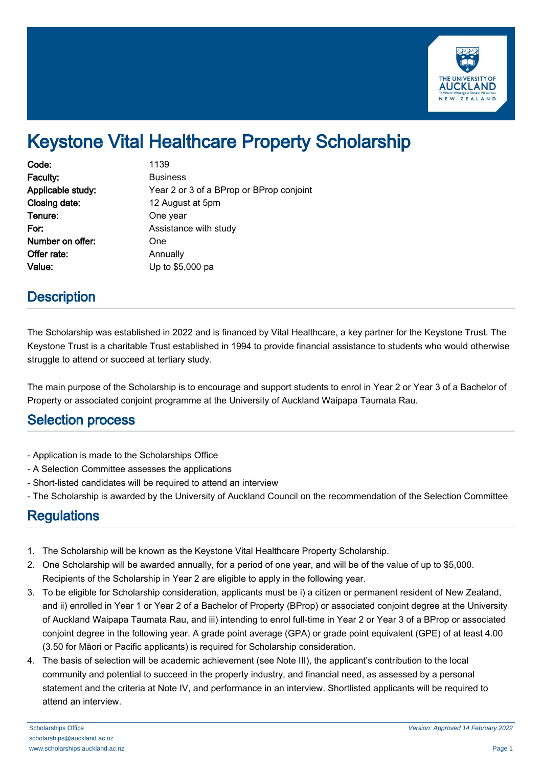

# Keystone Vital Healthcare Property Scholarship

| Code:             | 1139                                     |
|-------------------|------------------------------------------|
| Faculty:          | <b>Business</b>                          |
| Applicable study: | Year 2 or 3 of a BProp or BProp conjoint |
| Closing date:     | 12 August at 5pm                         |
| Tenure:           | One year                                 |
| For:              | Assistance with study                    |
| Number on offer:  | One                                      |
| Offer rate:       | Annually                                 |
| Value:            | Up to \$5,000 pa                         |

### **Description**

The Scholarship was established in 2022 and is financed by Vital Healthcare, a key partner for the Keystone Trust. The Keystone Trust is a charitable Trust established in 1994 to provide financial assistance to students who would otherwise struggle to attend or succeed at tertiary study.

The main purpose of the Scholarship is to encourage and support students to enrol in Year 2 or Year 3 of a Bachelor of Property or associated conjoint programme at the University of Auckland Waipapa Taumata Rau.

#### Selection process

- Application is made to the Scholarships Office
- A Selection Committee assesses the applications
- Short-listed candidates will be required to attend an interview
- The Scholarship is awarded by the University of Auckland Council on the recommendation of the Selection Committee

#### **Regulations**

- 1. The Scholarship will be known as the Keystone Vital Healthcare Property Scholarship.
- 2. One Scholarship will be awarded annually, for a period of one year, and will be of the value of up to \$5,000. Recipients of the Scholarship in Year 2 are eligible to apply in the following year.
- 3. To be eligible for Scholarship consideration, applicants must be i) a citizen or permanent resident of New Zealand, and ii) enrolled in Year 1 or Year 2 of a Bachelor of Property (BProp) or associated conjoint degree at the University of Auckland Waipapa Taumata Rau, and iii) intending to enrol full-time in Year 2 or Year 3 of a BProp or associated conjoint degree in the following year. A grade point average (GPA) or grade point equivalent (GPE) of at least 4.00 (3.50 for Māori or Pacific applicants) is required for Scholarship consideration.
- 4. The basis of selection will be academic achievement (see Note III), the applicant's contribution to the local community and potential to succeed in the property industry, and financial need, as assessed by a personal statement and the criteria at Note IV, and performance in an interview. Shortlisted applicants will be required to attend an interview.